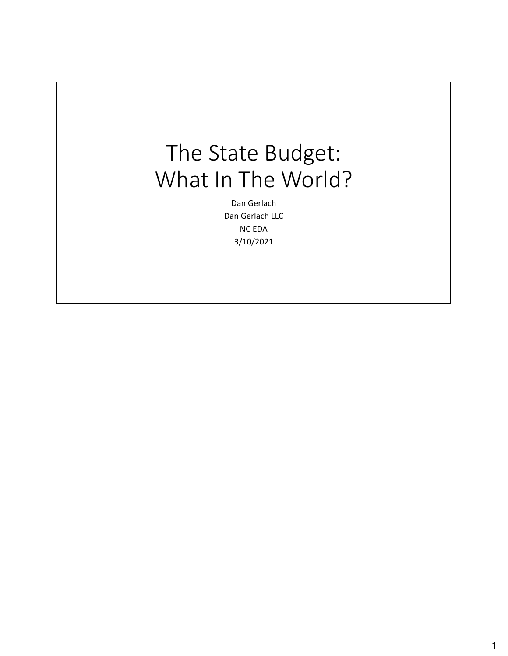## The State Budget: What In The World?

Dan Gerlach Dan Gerlach LLC NC EDA 3/10/2021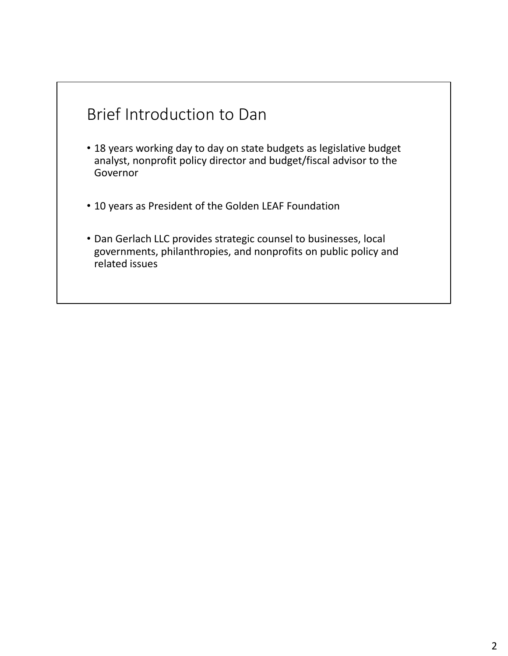

- 18 years working day to day on state budgets as legislative budget analyst, nonprofit policy director and budget/fiscal advisor to the Governor
- 10 years as President of the Golden LEAF Foundation
- Dan Gerlach LLC provides strategic counsel to businesses, local governments, philanthropies, and nonprofits on public policy and related issues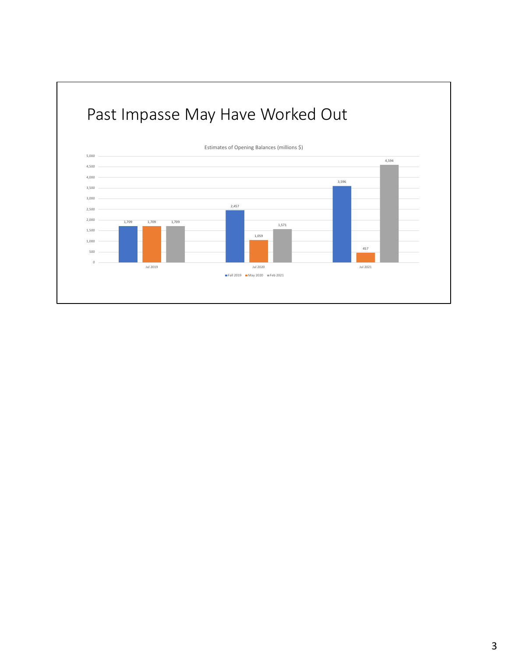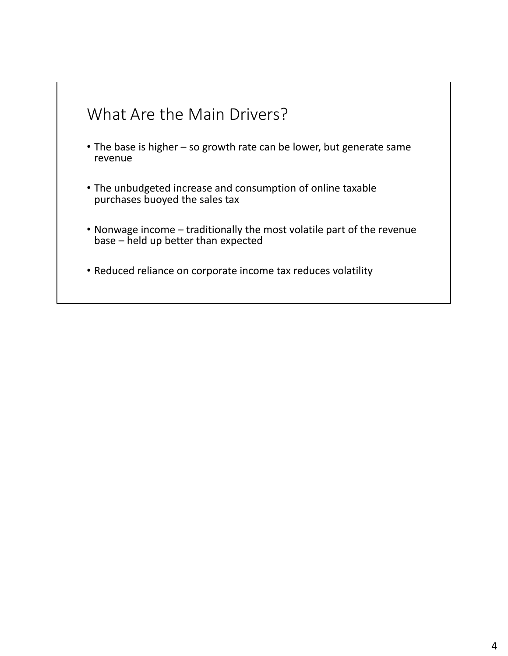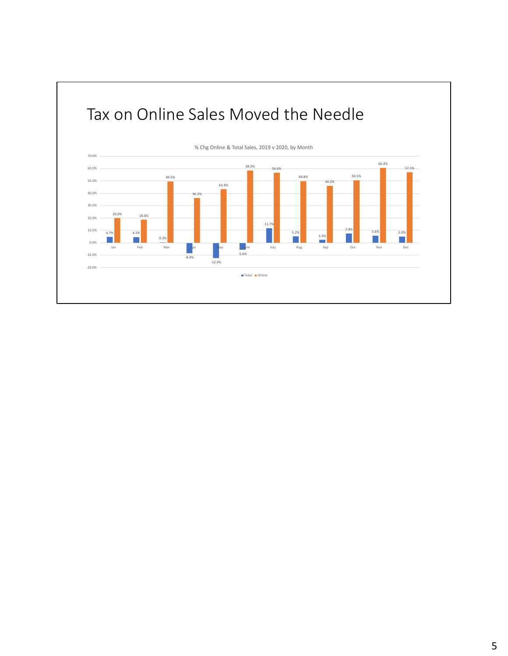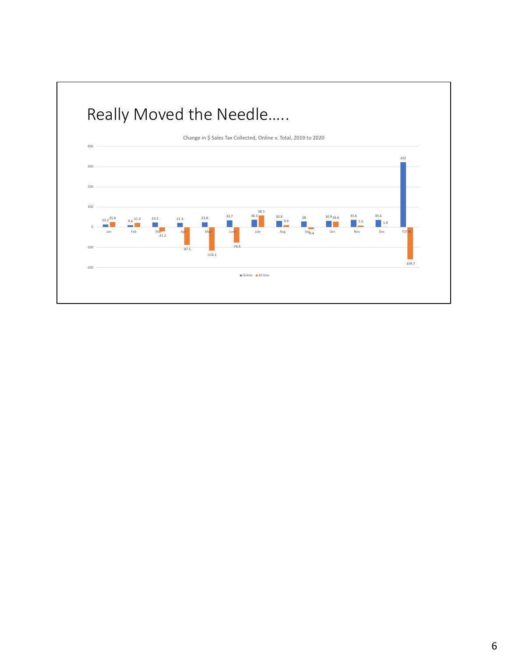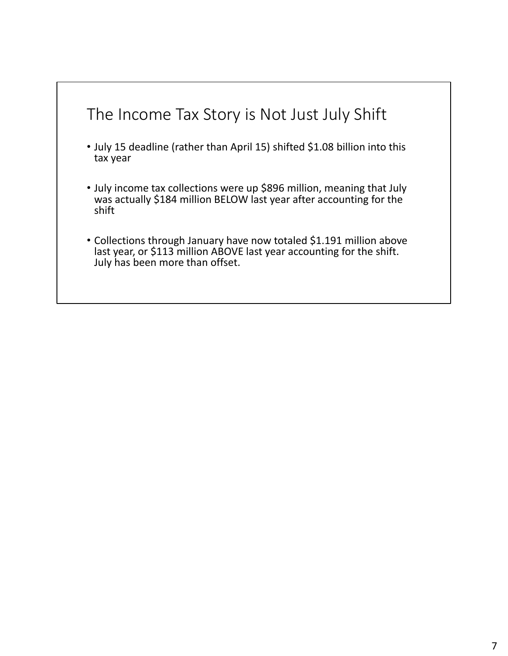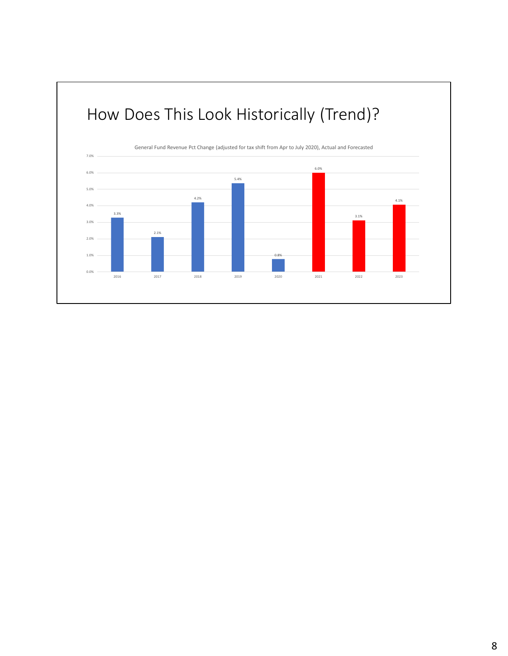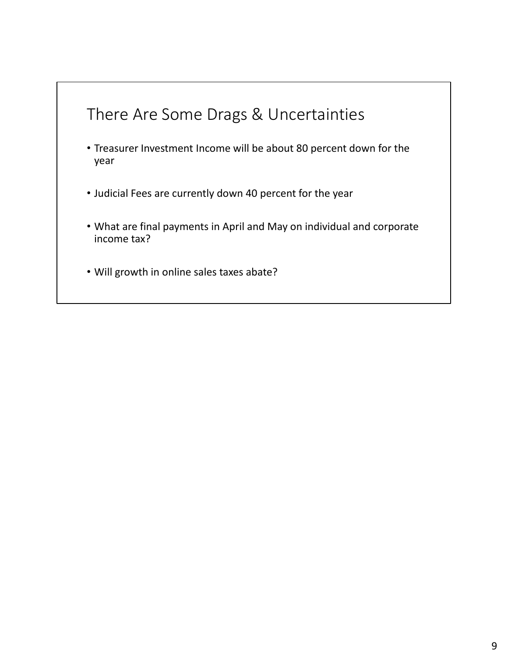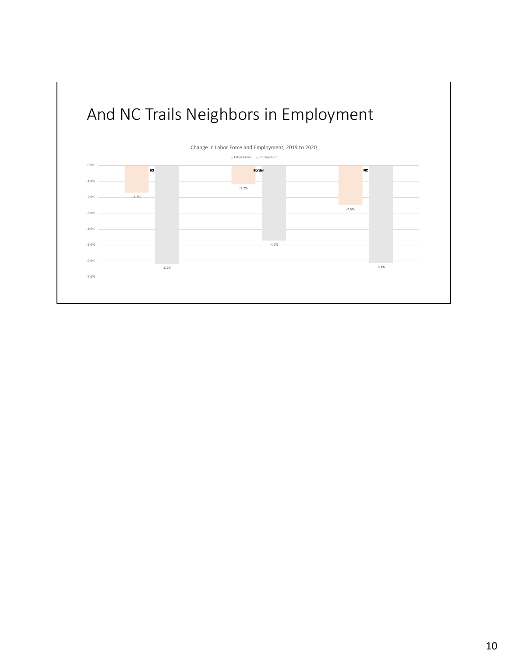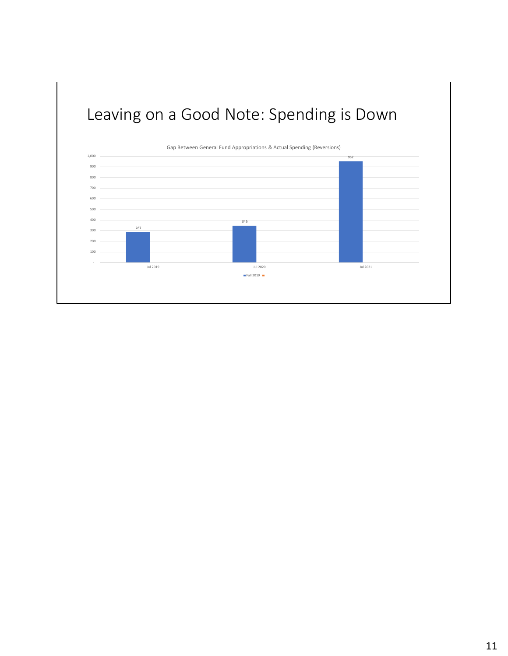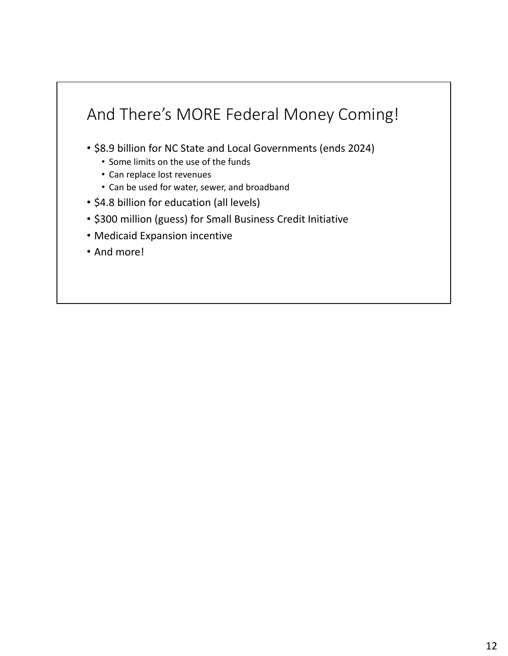